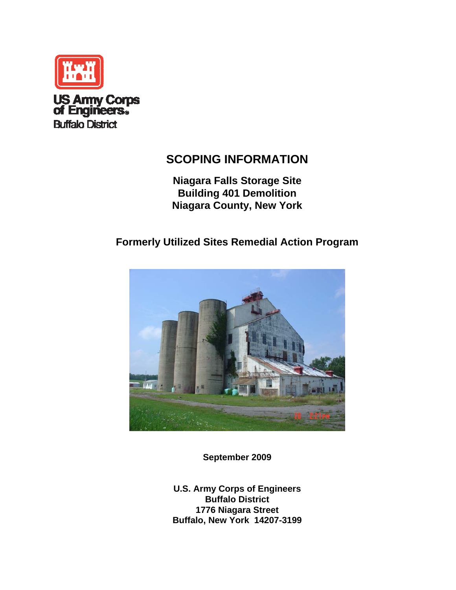

# **SCOPING INFORMATION**

**Niagara Falls Storage Site Building 401 Demolition Niagara County, New York** 

# **Formerly Utilized Sites Remedial Action Program**



**September 2009** 

**U.S. Army Corps of Engineers Buffalo District 1776 Niagara Street Buffalo, New York 14207-3199**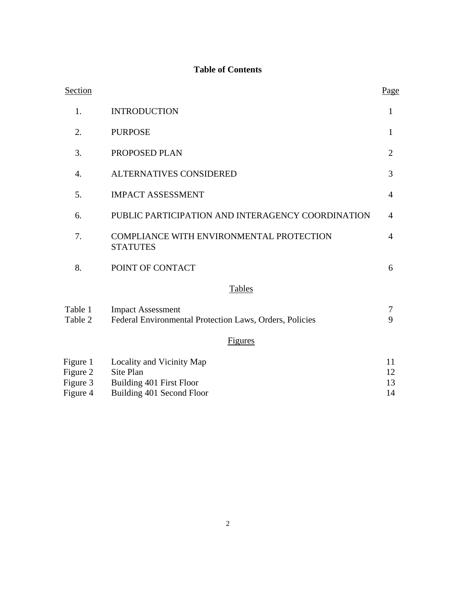## **Table of Contents**

| Section                          |                                                                                     | Page           |
|----------------------------------|-------------------------------------------------------------------------------------|----------------|
| 1.                               | <b>INTRODUCTION</b>                                                                 | 1              |
| 2.                               | <b>PURPOSE</b>                                                                      | $\mathbf{1}$   |
| 3.                               | PROPOSED PLAN                                                                       | $\overline{2}$ |
| 4.                               | ALTERNATIVES CONSIDERED                                                             | 3              |
| 5.                               | <b>IMPACT ASSESSMENT</b>                                                            | $\overline{4}$ |
| 6.                               | PUBLIC PARTICIPATION AND INTERAGENCY COORDINATION                                   | 4              |
| 7.                               | COMPLIANCE WITH ENVIRONMENTAL PROTECTION<br><b>STATUTES</b>                         | $\overline{4}$ |
| 8.                               | POINT OF CONTACT                                                                    | 6              |
|                                  | <b>Tables</b>                                                                       |                |
| Table 1<br>Table 2               | <b>Impact Assessment</b><br>Federal Environmental Protection Laws, Orders, Policies | 7<br>9         |
|                                  | Figures                                                                             |                |
| Figure 1<br>Figure 2<br>Figure 3 | Locality and Vicinity Map<br>Site Plan<br>Building 401 First Floor                  | 11<br>12<br>13 |

Figure 4 Building 401 Second Floor 14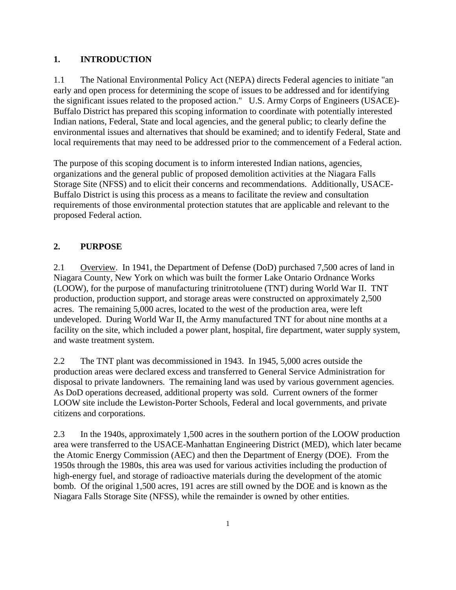#### **1. INTRODUCTION**

1.1 The National Environmental Policy Act (NEPA) directs Federal agencies to initiate "an early and open process for determining the scope of issues to be addressed and for identifying the significant issues related to the proposed action." U.S. Army Corps of Engineers (USACE)- Buffalo District has prepared this scoping information to coordinate with potentially interested Indian nations, Federal, State and local agencies, and the general public; to clearly define the environmental issues and alternatives that should be examined; and to identify Federal, State and local requirements that may need to be addressed prior to the commencement of a Federal action.

The purpose of this scoping document is to inform interested Indian nations, agencies, organizations and the general public of proposed demolition activities at the Niagara Falls Storage Site (NFSS) and to elicit their concerns and recommendations. Additionally, USACE-Buffalo District is using this process as a means to facilitate the review and consultation requirements of those environmental protection statutes that are applicable and relevant to the proposed Federal action.

#### **2. PURPOSE**

2.1 Overview. In 1941, the Department of Defense (DoD) purchased 7,500 acres of land in Niagara County, New York on which was built the former Lake Ontario Ordnance Works (LOOW), for the purpose of manufacturing trinitrotoluene (TNT) during World War II. TNT production, production support, and storage areas were constructed on approximately 2,500 acres. The remaining 5,000 acres, located to the west of the production area, were left undeveloped. During World War II, the Army manufactured TNT for about nine months at a facility on the site, which included a power plant, hospital, fire department, water supply system, and waste treatment system.

2.2 The TNT plant was decommissioned in 1943. In 1945, 5,000 acres outside the production areas were declared excess and transferred to General Service Administration for disposal to private landowners. The remaining land was used by various government agencies. As DoD operations decreased, additional property was sold. Current owners of the former LOOW site include the Lewiston-Porter Schools, Federal and local governments, and private citizens and corporations.

2.3 In the 1940s, approximately 1,500 acres in the southern portion of the LOOW production area were transferred to the USACE-Manhattan Engineering District (MED), which later became the Atomic Energy Commission (AEC) and then the Department of Energy (DOE). From the 1950s through the 1980s, this area was used for various activities including the production of high-energy fuel, and storage of radioactive materials during the development of the atomic bomb. Of the original 1,500 acres, 191 acres are still owned by the DOE and is known as the Niagara Falls Storage Site (NFSS), while the remainder is owned by other entities.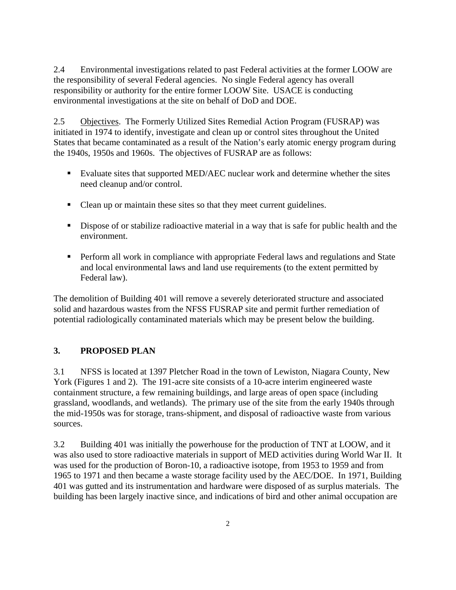2.4 Environmental investigations related to past Federal activities at the former LOOW are the responsibility of several Federal agencies. No single Federal agency has overall responsibility or authority for the entire former LOOW Site. USACE is conducting environmental investigations at the site on behalf of DoD and DOE.

2.5 Objectives. The Formerly Utilized Sites Remedial Action Program (FUSRAP) was initiated in 1974 to identify, investigate and clean up or control sites throughout the United States that became contaminated as a result of the Nation's early atomic energy program during the 1940s, 1950s and 1960s. The objectives of FUSRAP are as follows:

- Evaluate sites that supported MED/AEC nuclear work and determine whether the sites need cleanup and/or control.
- Clean up or maintain these sites so that they meet current guidelines.
- Dispose of or stabilize radioactive material in a way that is safe for public health and the environment.
- **Perform all work in compliance with appropriate Federal laws and regulations and State** and local environmental laws and land use requirements (to the extent permitted by Federal law).

The demolition of Building 401 will remove a severely deteriorated structure and associated solid and hazardous wastes from the NFSS FUSRAP site and permit further remediation of potential radiologically contaminated materials which may be present below the building.

### **3. PROPOSED PLAN**

3.1 NFSS is located at 1397 Pletcher Road in the town of Lewiston, Niagara County, New York (Figures 1 and 2). The 191-acre site consists of a 10-acre interim engineered waste containment structure, a few remaining buildings, and large areas of open space (including grassland, woodlands, and wetlands). The primary use of the site from the early 1940s through the mid-1950s was for storage, trans-shipment, and disposal of radioactive waste from various sources.

3.2 Building 401 was initially the powerhouse for the production of TNT at LOOW, and it was also used to store radioactive materials in support of MED activities during World War II. It was used for the production of Boron-10, a radioactive isotope, from 1953 to 1959 and from 1965 to 1971 and then became a waste storage facility used by the AEC/DOE. In 1971, Building 401 was gutted and its instrumentation and hardware were disposed of as surplus materials. The building has been largely inactive since, and indications of bird and other animal occupation are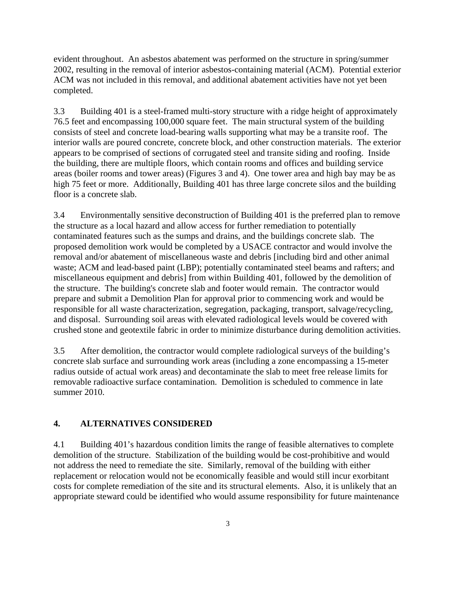evident throughout. An asbestos abatement was performed on the structure in spring/summer 2002, resulting in the removal of interior asbestos-containing material (ACM). Potential exterior ACM was not included in this removal, and additional abatement activities have not yet been completed.

3.3 Building 401 is a steel-framed multi-story structure with a ridge height of approximately 76.5 feet and encompassing 100,000 square feet. The main structural system of the building consists of steel and concrete load-bearing walls supporting what may be a transite roof. The interior walls are poured concrete, concrete block, and other construction materials. The exterior appears to be comprised of sections of corrugated steel and transite siding and roofing. Inside the building, there are multiple floors, which contain rooms and offices and building service areas (boiler rooms and tower areas) (Figures 3 and 4). One tower area and high bay may be as high 75 feet or more. Additionally, Building 401 has three large concrete silos and the building floor is a concrete slab.

3.4 Environmentally sensitive deconstruction of Building 401 is the preferred plan to remove the structure as a local hazard and allow access for further remediation to potentially contaminated features such as the sumps and drains, and the buildings concrete slab. The proposed demolition work would be completed by a USACE contractor and would involve the removal and/or abatement of miscellaneous waste and debris [including bird and other animal waste; ACM and lead-based paint (LBP); potentially contaminated steel beams and rafters; and miscellaneous equipment and debris] from within Building 401, followed by the demolition of the structure. The building's concrete slab and footer would remain. The contractor would prepare and submit a Demolition Plan for approval prior to commencing work and would be responsible for all waste characterization, segregation, packaging, transport, salvage/recycling, and disposal. Surrounding soil areas with elevated radiological levels would be covered with crushed stone and geotextile fabric in order to minimize disturbance during demolition activities.

3.5 After demolition, the contractor would complete radiological surveys of the building's concrete slab surface and surrounding work areas (including a zone encompassing a 15-meter radius outside of actual work areas) and decontaminate the slab to meet free release limits for removable radioactive surface contamination. Demolition is scheduled to commence in late summer 2010.

### **4. ALTERNATIVES CONSIDERED**

4.1 Building 401's hazardous condition limits the range of feasible alternatives to complete demolition of the structure. Stabilization of the building would be cost-prohibitive and would not address the need to remediate the site. Similarly, removal of the building with either replacement or relocation would not be economically feasible and would still incur exorbitant costs for complete remediation of the site and its structural elements. Also, it is unlikely that an appropriate steward could be identified who would assume responsibility for future maintenance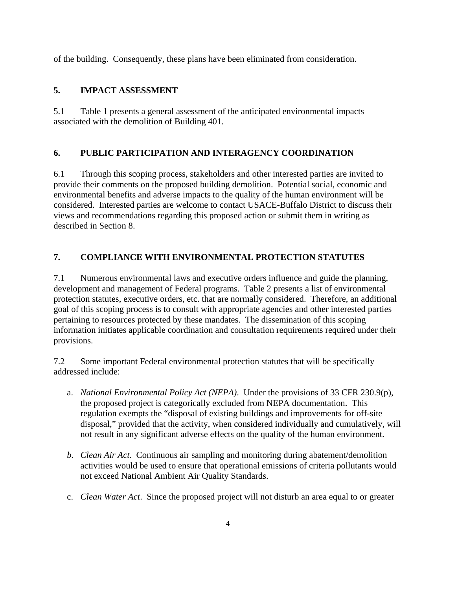of the building. Consequently, these plans have been eliminated from consideration.

### **5. IMPACT ASSESSMENT**

5.1 Table 1 presents a general assessment of the anticipated environmental impacts associated with the demolition of Building 401.

### **6. PUBLIC PARTICIPATION AND INTERAGENCY COORDINATION**

6.1 Through this scoping process, stakeholders and other interested parties are invited to provide their comments on the proposed building demolition. Potential social, economic and environmental benefits and adverse impacts to the quality of the human environment will be considered. Interested parties are welcome to contact USACE-Buffalo District to discuss their views and recommendations regarding this proposed action or submit them in writing as described in Section 8.

### **7. COMPLIANCE WITH ENVIRONMENTAL PROTECTION STATUTES**

7.1 Numerous environmental laws and executive orders influence and guide the planning, development and management of Federal programs. Table 2 presents a list of environmental protection statutes, executive orders, etc. that are normally considered. Therefore, an additional goal of this scoping process is to consult with appropriate agencies and other interested parties pertaining to resources protected by these mandates. The dissemination of this scoping information initiates applicable coordination and consultation requirements required under their provisions.

7.2 Some important Federal environmental protection statutes that will be specifically addressed include:

- a. *National Environmental Policy Act (NEPA)*. Under the provisions of 33 CFR 230.9(p), the proposed project is categorically excluded from NEPA documentation. This regulation exempts the "disposal of existing buildings and improvements for off-site disposal," provided that the activity, when considered individually and cumulatively, will not result in any significant adverse effects on the quality of the human environment.
- *b. Clean Air Act.* Continuous air sampling and monitoring during abatement/demolition activities would be used to ensure that operational emissions of criteria pollutants would not exceed National Ambient Air Quality Standards.
- c. *Clean Water Act*. Since the proposed project will not disturb an area equal to or greater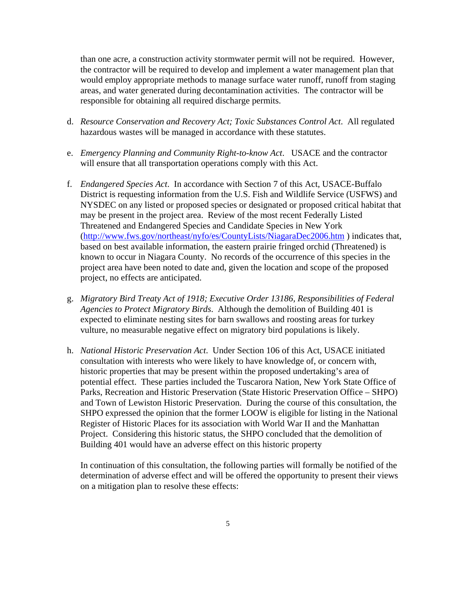than one acre, a construction activity stormwater permit will not be required. However, the contractor will be required to develop and implement a water management plan that would employ appropriate methods to manage surface water runoff, runoff from staging areas, and water generated during decontamination activities. The contractor will be responsible for obtaining all required discharge permits.

- d. *Resource Conservation and Recovery Act; Toxic Substances Control Act*. All regulated hazardous wastes will be managed in accordance with these statutes.
- e. *Emergency Planning and Community Right-to-know Act*. USACE and the contractor will ensure that all transportation operations comply with this Act.
- f. *Endangered Species Act*. In accordance with Section 7 of this Act, USACE-Buffalo District is requesting information from the U.S. Fish and Wildlife Service (USFWS) and NYSDEC on any listed or proposed species or designated or proposed critical habitat that may be present in the project area. Review of the most recent Federally Listed Threatened and Endangered Species and Candidate Species in New York (http://www.fws.gov/northeast/nyfo/es/CountyLists/NiagaraDec2006.htm ) indicates that, based on best available information, the eastern prairie fringed orchid (Threatened) is known to occur in Niagara County. No records of the occurrence of this species in the project area have been noted to date and, given the location and scope of the proposed project, no effects are anticipated.
- g. *Migratory Bird Treaty Act of 1918; Executive Order 13186, Responsibilities of Federal Agencies to Protect Migratory Birds*. Although the demolition of Building 401 is expected to eliminate nesting sites for barn swallows and roosting areas for turkey vulture, no measurable negative effect on migratory bird populations is likely.
- h. *National Historic Preservation Act*. Under Section 106 of this Act, USACE initiated consultation with interests who were likely to have knowledge of, or concern with, historic properties that may be present within the proposed undertaking's area of potential effect. These parties included the Tuscarora Nation, New York State Office of Parks, Recreation and Historic Preservation (State Historic Preservation Office – SHPO) and Town of Lewiston Historic Preservation. During the course of this consultation, the SHPO expressed the opinion that the former LOOW is eligible for listing in the National Register of Historic Places for its association with World War II and the Manhattan Project. Considering this historic status, the SHPO concluded that the demolition of Building 401 would have an adverse effect on this historic property

In continuation of this consultation, the following parties will formally be notified of the determination of adverse effect and will be offered the opportunity to present their views on a mitigation plan to resolve these effects: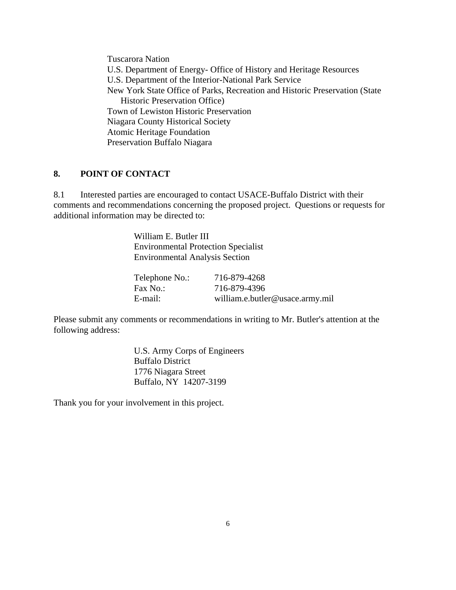Tuscarora Nation U.S. Department of Energy- Office of History and Heritage Resources U.S. Department of the Interior-National Park Service New York State Office of Parks, Recreation and Historic Preservation (State Historic Preservation Office) Town of Lewiston Historic Preservation Niagara County Historical Society Atomic Heritage Foundation Preservation Buffalo Niagara

#### **8. POINT OF CONTACT**

8.1 Interested parties are encouraged to contact USACE-Buffalo District with their comments and recommendations concerning the proposed project. Questions or requests for additional information may be directed to:

> William E. Butler III Environmental Protection Specialist Environmental Analysis Section

| Telephone No.: | 716-879-4268                    |
|----------------|---------------------------------|
| Fax No.:       | 716-879-4396                    |
| E-mail:        | william.e.butler@usace.army.mil |

Please submit any comments or recommendations in writing to Mr. Butler's attention at the following address:

> U.S. Army Corps of Engineers Buffalo District 1776 Niagara Street Buffalo, NY 14207-3199

Thank you for your involvement in this project.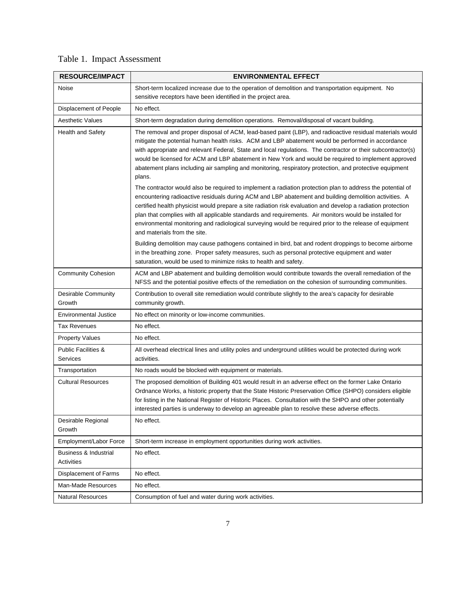|  | Table 1. Impact Assessment |
|--|----------------------------|
|--|----------------------------|

| <b>RESOURCE/IMPACT</b>                         | <b>ENVIRONMENTAL EFFECT</b>                                                                                                                                                                                                                                                                                                                                                                                                                                                                                                                                                              |
|------------------------------------------------|------------------------------------------------------------------------------------------------------------------------------------------------------------------------------------------------------------------------------------------------------------------------------------------------------------------------------------------------------------------------------------------------------------------------------------------------------------------------------------------------------------------------------------------------------------------------------------------|
| Noise                                          | Short-term localized increase due to the operation of demolition and transportation equipment. No<br>sensitive receptors have been identified in the project area.                                                                                                                                                                                                                                                                                                                                                                                                                       |
| Displacement of People                         | No effect.                                                                                                                                                                                                                                                                                                                                                                                                                                                                                                                                                                               |
| <b>Aesthetic Values</b>                        | Short-term degradation during demolition operations. Removal/disposal of vacant building.                                                                                                                                                                                                                                                                                                                                                                                                                                                                                                |
| <b>Health and Safety</b>                       | The removal and proper disposal of ACM, lead-based paint (LBP), and radioactive residual materials would<br>mitigate the potential human health risks. ACM and LBP abatement would be performed in accordance<br>with appropriate and relevant Federal, State and local regulations. The contractor or their subcontractor(s)<br>would be licensed for ACM and LBP abatement in New York and would be required to implement approved<br>abatement plans including air sampling and monitoring, respiratory protection, and protective equipment<br>plans.                                |
|                                                | The contractor would also be required to implement a radiation protection plan to address the potential of<br>encountering radioactive residuals during ACM and LBP abatement and building demolition activities. A<br>certified health physicist would prepare a site radiation risk evaluation and develop a radiation protection<br>plan that complies with all applicable standards and requirements. Air monitors would be installed for<br>environmental monitoring and radiological surveying would be required prior to the release of equipment<br>and materials from the site. |
|                                                | Building demolition may cause pathogens contained in bird, bat and rodent droppings to become airborne<br>in the breathing zone. Proper safety measures, such as personal protective equipment and water<br>saturation, would be used to minimize risks to health and safety.                                                                                                                                                                                                                                                                                                            |
| <b>Community Cohesion</b>                      | ACM and LBP abatement and building demolition would contribute towards the overall remediation of the<br>NFSS and the potential positive effects of the remediation on the cohesion of surrounding communities.                                                                                                                                                                                                                                                                                                                                                                          |
| Desirable Community<br>Growth                  | Contribution to overall site remediation would contribute slightly to the area's capacity for desirable<br>community growth.                                                                                                                                                                                                                                                                                                                                                                                                                                                             |
| <b>Environmental Justice</b>                   | No effect on minority or low-income communities.                                                                                                                                                                                                                                                                                                                                                                                                                                                                                                                                         |
| <b>Tax Revenues</b>                            | No effect.                                                                                                                                                                                                                                                                                                                                                                                                                                                                                                                                                                               |
| <b>Property Values</b>                         | No effect.                                                                                                                                                                                                                                                                                                                                                                                                                                                                                                                                                                               |
| <b>Public Facilities &amp;</b><br>Services     | All overhead electrical lines and utility poles and underground utilities would be protected during work<br>activities.                                                                                                                                                                                                                                                                                                                                                                                                                                                                  |
| Transportation                                 | No roads would be blocked with equipment or materials.                                                                                                                                                                                                                                                                                                                                                                                                                                                                                                                                   |
| <b>Cultural Resources</b>                      | The proposed demolition of Building 401 would result in an adverse effect on the former Lake Ontario<br>Ordnance Works, a historic property that the State Historic Preservation Office (SHPO) considers eligible<br>for listing in the National Register of Historic Places. Consultation with the SHPO and other potentially<br>interested parties is underway to develop an agreeable plan to resolve these adverse effects.                                                                                                                                                          |
| Desirable Regional<br>Growth                   | No effect.                                                                                                                                                                                                                                                                                                                                                                                                                                                                                                                                                                               |
| Employment/Labor Force                         | Short-term increase in employment opportunities during work activities.                                                                                                                                                                                                                                                                                                                                                                                                                                                                                                                  |
| <b>Business &amp; Industrial</b><br>Activities | No effect.                                                                                                                                                                                                                                                                                                                                                                                                                                                                                                                                                                               |
| Displacement of Farms                          | No effect.                                                                                                                                                                                                                                                                                                                                                                                                                                                                                                                                                                               |
| Man-Made Resources                             | No effect.                                                                                                                                                                                                                                                                                                                                                                                                                                                                                                                                                                               |
| <b>Natural Resources</b>                       | Consumption of fuel and water during work activities.                                                                                                                                                                                                                                                                                                                                                                                                                                                                                                                                    |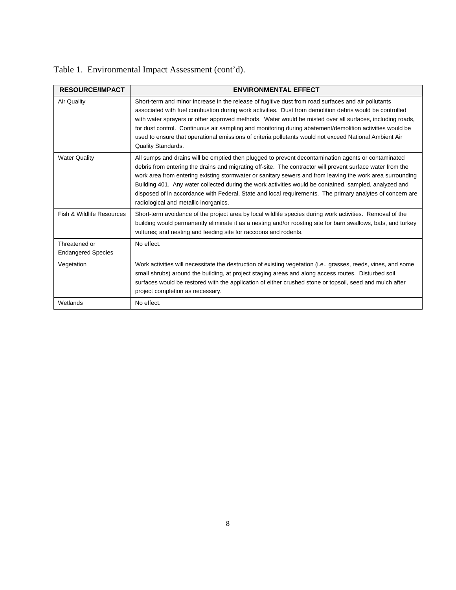| <b>RESOURCE/IMPACT</b>                     | <b>ENVIRONMENTAL EFFECT</b>                                                                                                                                                                                                                                                                                                                                                                                                                                                                                                                                                                    |
|--------------------------------------------|------------------------------------------------------------------------------------------------------------------------------------------------------------------------------------------------------------------------------------------------------------------------------------------------------------------------------------------------------------------------------------------------------------------------------------------------------------------------------------------------------------------------------------------------------------------------------------------------|
| Air Quality                                | Short-term and minor increase in the release of fugitive dust from road surfaces and air pollutants<br>associated with fuel combustion during work activities. Dust from demolition debris would be controlled<br>with water sprayers or other approved methods. Water would be misted over all surfaces, including roads,<br>for dust control. Continuous air sampling and monitoring during abatement/demolition activities would be<br>used to ensure that operational emissions of criteria pollutants would not exceed National Ambient Air<br>Quality Standards.                         |
| <b>Water Quality</b>                       | All sumps and drains will be emptied then plugged to prevent decontamination agents or contaminated<br>debris from entering the drains and migrating off-site. The contractor will prevent surface water from the<br>work area from entering existing stormwater or sanitary sewers and from leaving the work area surrounding<br>Building 401. Any water collected during the work activities would be contained, sampled, analyzed and<br>disposed of in accordance with Federal, State and local requirements. The primary analytes of concern are<br>radiological and metallic inorganics. |
| Fish & Wildlife Resources                  | Short-term avoidance of the project area by local wildlife species during work activities. Removal of the<br>building would permanently eliminate it as a nesting and/or roosting site for barn swallows, bats, and turkey<br>vultures; and nesting and feeding site for raccoons and rodents.                                                                                                                                                                                                                                                                                                 |
| Threatened or<br><b>Endangered Species</b> | No effect.                                                                                                                                                                                                                                                                                                                                                                                                                                                                                                                                                                                     |
| Vegetation                                 | Work activities will necessitate the destruction of existing vegetation (i.e., grasses, reeds, vines, and some<br>small shrubs) around the building, at project staging areas and along access routes. Disturbed soil<br>surfaces would be restored with the application of either crushed stone or topsoil, seed and mulch after<br>project completion as necessary.                                                                                                                                                                                                                          |
| Wetlands                                   | No effect.                                                                                                                                                                                                                                                                                                                                                                                                                                                                                                                                                                                     |

Table 1. Environmental Impact Assessment (cont'd).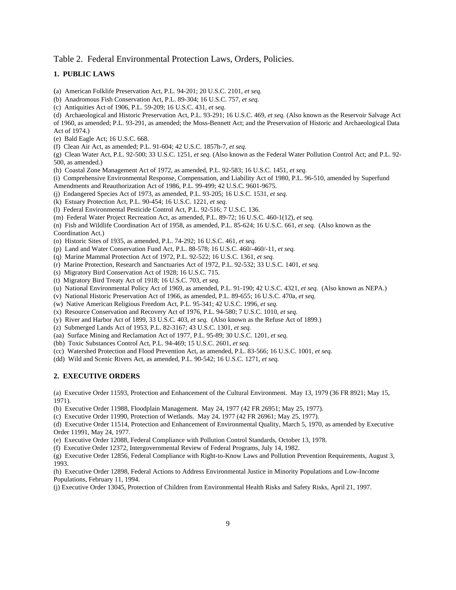Table 2. Federal Environmental Protection Laws, Orders, Policies.

#### **1. PUBLIC LAWS**

(a) American Folklife Preservation Act, P.L. 94-201; 20 U.S.C. 2101, *et seq.*

(b) Anadromous Fish Conservation Act, P.L. 89-304; 16 U.S.C. 757, *et seq.*

(c) Antiquities Act of 1906, P.L. 59-209; 16 U.S.C. 431, *et seq.*

(d) Archaeological and Historic Preservation Act, P.L. 93-291; 16 U.S.C. 469, *et seq.* (Also known as the Reservoir Salvage Act of 1960, as amended; P.L. 93-291, as amended; the Moss-Bennett Act; and the Preservation of Historic and Archaeological Data Act of 1974.)

(e) Bald Eagle Act; 16 U.S.C. 668.

(f) Clean Air Act, as amended; P.L. 91-604; 42 U.S.C. 1857h-7, *et seq.*

(g) Clean Water Act, P.L. 92-500; 33 U.S.C. 1251, *et seq.* (Also known as the Federal Water Pollution Control Act; and P.L. 92- 500, as amended.)

(h) Coastal Zone Management Act of 1972, as amended, P.L. 92-583; 16 U.S.C. 1451, *et seq.*

(i) Comprehensive Environmental Response, Compensation, and Liability Act of 1980, P.L. 96-510, amended by Superfund

Amendments and Reauthorization Act of 1986, P.L. 99-499; 42 U.S.C. 9601-9675.

(j) Endangered Species Act of 1973, as amended, P.L. 93-205; 16 U.S.C. 1531, *et seq.*

(k) Estuary Protection Act, P.L. 90-454; 16 U.S.C. 1221, *et seq.*

(l) Federal Environmental Pesticide Control Act, P.L. 92-516; 7 U.S.C. 136.

(m) Federal Water Project Recreation Act, as amended, P.L. 89-72; 16 U.S.C. 460-1(12), *et seq.*

(n) Fish and Wildlife Coordination Act of 1958, as amended, P.L. 85-624; 16 U.S.C. 661, *et seq.* (Also known as the Coordination Act.)

(o) Historic Sites of 1935, as amended, P.L. 74-292; 16 U.S.C. 461, *et seq.*

(p) Land and Water Conservation Fund Act, P.L. 88-578; 16 U.S.C. 460/-460/-11, *et seq.*

(q) Marine Mammal Protection Act of 1972, P.L. 92-522; 16 U.S.C. 1361, *et seq.*

(r) Marine Protection, Research and Sanctuaries Act of 1972, P.L. 92-532; 33 U.S.C. 1401, *et seq.*

(s) Migratory Bird Conservation Act of 1928; 16 U.S.C. 715.

(t) Migratory Bird Treaty Act of 1918; 16 U.S.C. 703, *et seq.*

(u) National Environmental Policy Act of 1969, as amended, P.L. 91-190; 42 U.S.C. 4321, *et seq.* (Also known as NEPA.)

(v) National Historic Preservation Act of 1966, as amended, P.L. 89-655; 16 U.S.C. 470a, *et seq.*

(w) Native American Religious Freedom Act, P.L. 95-341; 42 U.S.C. 1996, *et seq.*

(x) Resource Conservation and Recovery Act of 1976, P.L. 94-580; 7 U.S.C. 1010, *et seq.*

(y) River and Harbor Act of 1899, 33 U.S.C. 403, *et seq.* (Also known as the Refuse Act of 1899.)

(z) Submerged Lands Act of 1953, P.L. 82-3167; 43 U.S.C. 1301, *et seq.*

(aa) Surface Mining and Reclamation Act of 1977, P.L. 95-89; 30 U.S.C. 1201, *et seq.* 

(bb) Toxic Substances Control Act, P.L. 94-469; 15 U.S.C. 2601, *et seq.*

(cc) Watershed Protection and Flood Prevention Act, as amended, P.L. 83-566; 16 U.S.C. 1001, *et seq.*

(dd) Wild and Scenic Rivers Act, as amended, P.L. 90-542; 16 U.S.C. 1271, *et seq.*

#### **2. EXECUTIVE ORDERS**

(a) Executive Order 11593, Protection and Enhancement of the Cultural Environment. May 13, 1979 (36 FR 8921; May 15, 1971).

(b) Executive Order 11988, Floodplain Management. May 24, 1977 (42 FR 26951; May 25, 1977).

(c) Executive Order 11990, Protection of Wetlands. May 24, 1977 (42 FR 26961; May 25, 1977).

(d) Executive Order 11514, Protection and Enhancement of Environmental Quality, March 5, 1970, as amended by Executive Order 11991, May 24, 1977.

(e) Executive Order 12088, Federal Compliance with Pollution Control Standards, October 13, 1978.

(f) Executive Order 12372, Intergovernmental Review of Federal Programs, July 14, 1982.

(g) Executive Order 12856, Federal Compliance with Right-to-Know Laws and Pollution Prevention Requirements, August 3, 1993.

(h) Executive Order 12898, Federal Actions to Address Environmental Justice in Minority Populations and Low-Income Populations, February 11, 1994.

(j) Executive Order 13045, Protection of Children from Environmental Health Risks and Safety Risks, April 21, 1997.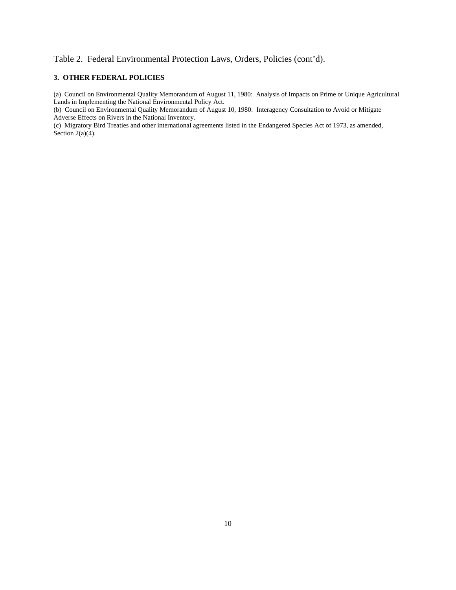#### Table 2. Federal Environmental Protection Laws, Orders, Policies (cont'd).

#### **3. OTHER FEDERAL POLICIES**

(a) Council on Environmental Quality Memorandum of August 11, 1980: Analysis of Impacts on Prime or Unique Agricultural Lands in Implementing the National Environmental Policy Act.

(b) Council on Environmental Quality Memorandum of August 10, 1980: Interagency Consultation to Avoid or Mitigate Adverse Effects on Rivers in the National Inventory.

(c) Migratory Bird Treaties and other international agreements listed in the Endangered Species Act of 1973, as amended, Section  $2(a)(4)$ .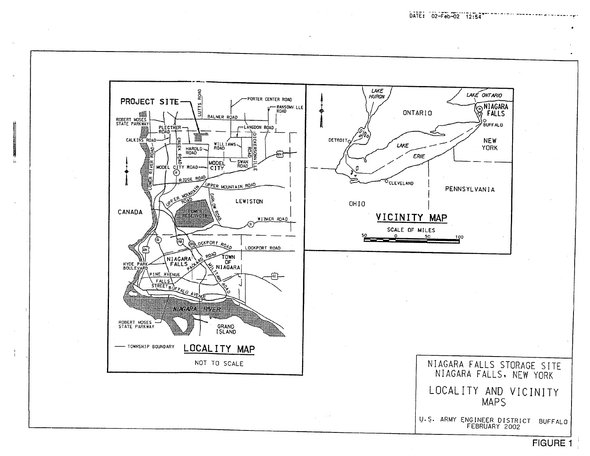

**FIGURE 1** 

DATE: 02-Feb-02 12:54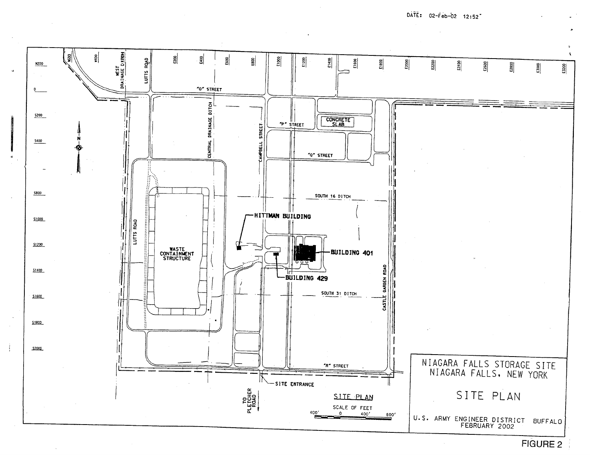$D\tilde{A}\tilde{T}\tilde{E}$ : 02- $\tilde{F}$ eb-02 12:52<sup>-</sup>

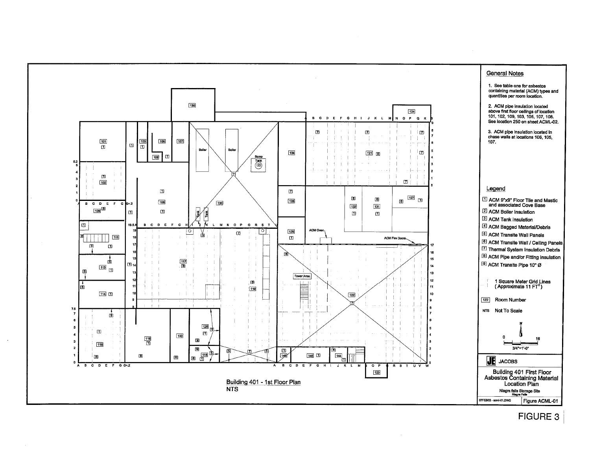

# **FIGURE 3**